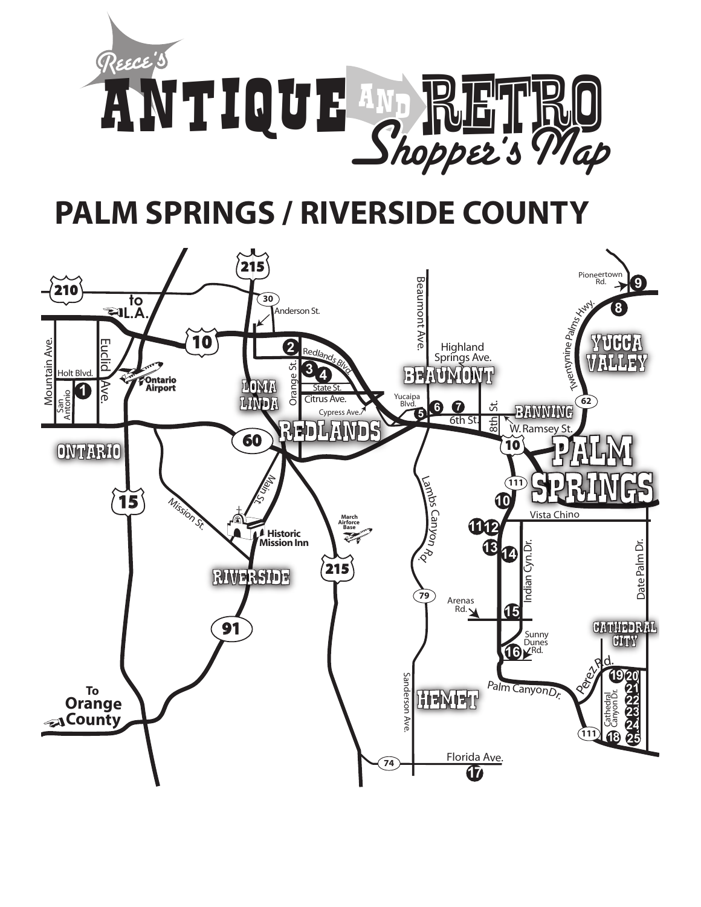

# **PALM SPRINGS / RIVERSIDE COUNTY**

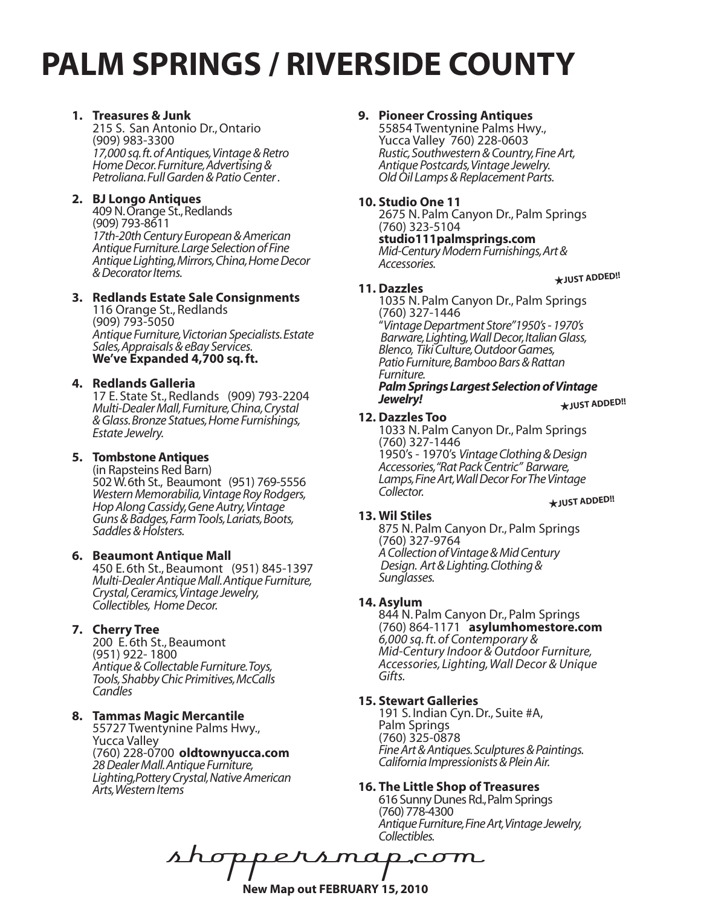# **PALM SPRINGS / RIVERSIDE COUNTY**

# **1. Treasures & Junk**

215 S. San Antonio Dr., Ontario (909) 983-3300 *17,000 sq. ft. of Antiques, Vintage & Retro Home Decor. Furniture, Advertising & Petroliana. Full Garden & Patio Center .* 

# **2. BJ Longo Antiques**

409 N. Orange St., Redlands (909) 793-8611 *17th-20th Century European & American Antique Furniture. Large Selection of Fine Antique Lighting, Mirrors, China, Home Decor & Decorator Items.*

# **3. Redlands Estate Sale Consignments**

116 Orange St., Redlands (909) 793-5050 *Antique Furniture, Victorian Specialists. Estate Sales, Appraisals & eBay Services.* **We've Expanded 4,700 sq. ft.**

# **4. Redlands Galleria**

17 E. State St., Redlands (909) 793-2204 *Multi-Dealer Mall, Furniture, China, Crystal & Glass. Bronze Statues, Home Furnishings, Estate Jewelry.* 

# **5. Tombstone Antiques**

(in Rapsteins Red Barn) 502 W. 6th St., Beaumont (951) 769-5556 *Western Memorabilia, Vintage Roy Rodgers, Hop Along Cassidy, Gene Autry, Vintage Guns & Badges, Farm Tools, Lariats, Boots, Saddles & Holsters.* 

## **6. Beaumont Antique Mall**

450 E. 6th St., Beaumont (951) 845-1397 *Multi-Dealer Antique Mall. Antique Furniture, Crystal, Ceramics, Vintage Jewelry, Collectibles, Home Decor.*

# **7. Cherry Tree**

200 E. 6th St., Beaumont (951) 922- 1800 *Antique & Collectable Furniture. Toys, Tools, Shabby Chic Primitives, McCalls Candles*

## **8. Tammas Magic Mercantile**

55727 Twentynine Palms Hwy., Yucca Valley (760) 228-0700 **oldtownyucca.com** *28 Dealer Mall. Antique Furniture, Lighting,Pottery Crystal, Native American Arts, Western Items*

# **9. Pioneer Crossing Antiques**

55854 Twentynine Palms Hwy., Yucca Valley 760) 228-0603<br>Rustic, Southwestern & Country, Fine Art, *Rustic, Southwestern & Country, Fine Art, Antique Postcards, Vintage Jewelry. Old Oil Lamps & Replacement Parts.*

## **10. Studio One 11**

2675 N. Palm Canyon Dr., Palm Springs (760) 323-5104

**studio111palmsprings.com** *Mid-Century Modern Furnishings, Art & Accessories.* 

# H**JUST ADDED!!**

**11. Dazzles**

1035 N. Palm Canyon Dr., Palm Springs (760) 327-1446 "*Vintage Department Store"1950's - 1970's Barware, Lighting, Wall Decor, Italian Glass, Blenco, Tiki Culture, Outdoor Games, Patio Furniture, Bamboo Bars & Rattan* 

#### H**JUST ADDED!!** *Furniture. Palm Springs Largest Selection of Vintage Jewelry!*

#### **12. Dazzles Too**

1033 N. Palm Canyon Dr., Palm Springs (760) 327-1446 1950's - 1970's *Vintage Clothing & Design*  Lamps, Fine Art, Wall Decor For The Vintage<br>Collector.

#### H**JUST ADDED!!**

## **13. Wil Stiles**

875 N. Palm Canyon Dr., Palm Springs (760) 327-9764 *A Collection of Vintage & Mid Century Design. Art & Lighting. Clothing & Sunglasses.*

## **14. Asylum**

844 N. Palm Canyon Dr., Palm Springs (760) 864-1171 **asylumhomestore.com** *6,000 sq. ft. of Contemporary & Accessories, Lighting, Wall Decor & Unique*<br>Gifts.

## **15. Stewart Galleries**

191 S. Indian Cyn. Dr., Suite #A, Palm Springs (760) 325-0878 *Fine Art & Antiques. Sculptures & Paintings. California Impressionists & Plein Air.*

## **16. The Little Shop of Treasures**

616 Sunny Dunes Rd., Palm Springs (760) 778-4300 *Antique Furniture, Fine Art, Vintage Jewelry, Collectibles.* 

s map com **New Map out FEBRUARY 15, 2010**